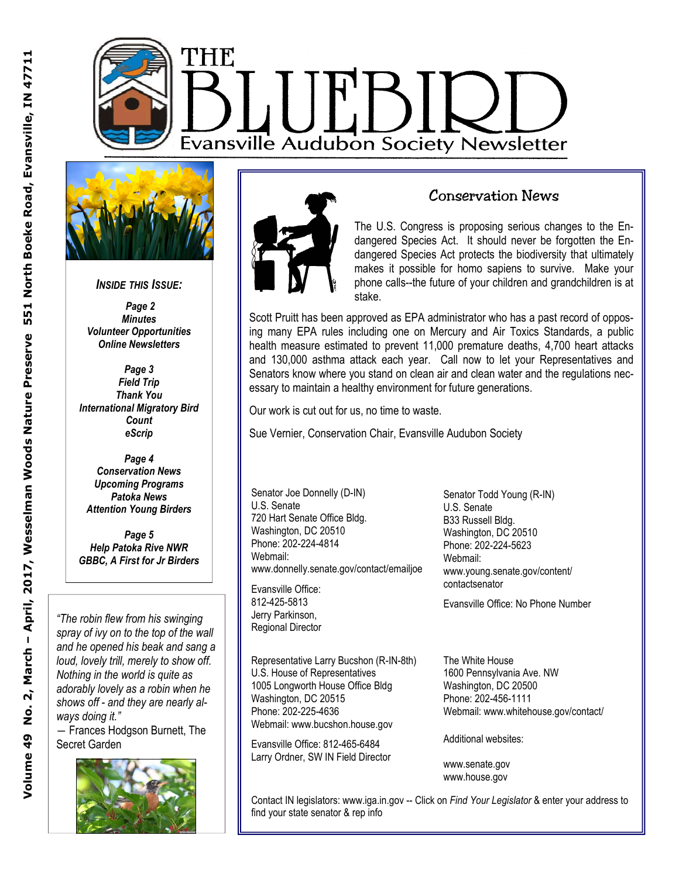



*INSIDE THIS ISSUE:* 

 *Page 2 Minutes Volunteer Opportunities Online Newsletters* 

*Page 3 Field Trip Thank You International Migratory Bird Count eScrip* 

*Page 4 Conservation News Upcoming Programs Patoka News Attention Young Birders* 

*Page 5 Help Patoka Rive NWR GBBC, A First for Jr Birders* 

*"The robin flew from his swinging spray of ivy on to the top of the wall and he opened his beak and sang a loud, lovely trill, merely to show off. Nothing in the world is quite as adorably lovely as a robin when he shows off - and they are nearly always doing it."* 

― Frances Hodgson Burnett, The Secret Garden





#### Conservation News

The U.S. Congress is proposing serious changes to the Endangered Species Act. It should never be forgotten the Endangered Species Act protects the biodiversity that ultimately makes it possible for homo sapiens to survive. Make your phone calls--the future of your children and grandchildren is at stake.

Scott Pruitt has been approved as EPA administrator who has a past record of opposing many EPA rules including one on Mercury and Air Toxics Standards, a public health measure estimated to prevent 11,000 premature deaths, 4,700 heart attacks and 130,000 asthma attack each year. Call now to let your Representatives and Senators know where you stand on clean air and clean water and the regulations necessary to maintain a healthy environment for future generations.

Our work is cut out for us, no time to waste.

Sue Vernier, Conservation Chair, Evansville Audubon Society

Senator Joe Donnelly (D-IN) U.S. Senate 720 Hart Senate Office Bldg. Washington, DC 20510 Phone: 202-224-4814 Webmail: www.donnelly.senate.gov/contact/emailjoe

Evansville Office: 812-425-5813 Jerry Parkinson, Regional Director

Representative Larry Bucshon (R-IN-8th) U.S. House of Representatives 1005 Longworth House Office Bldg Washington, DC 20515 Phone: 202-225-4636 Webmail: www.bucshon.house.gov

Evansville Office: 812-465-6484 Larry Ordner, SW IN Field Director Senator Todd Young (R-IN) U.S. Senate B33 Russell Bldg. Washington, DC 20510 Phone: 202-224-5623 Webmail: www.young.senate.gov/content/ contactsenator

Evansville Office: No Phone Number

The White House 1600 Pennsylvania Ave. NW Washington, DC 20500 Phone: 202-456-1111 Webmail: www.whitehouse.gov/contact/

Additional websites:

www.senate.gov www.house.gov

Contact IN legislators: www.iga.in.gov -- Click on *Find Your Legislator* & enter your address to find your state senator & rep info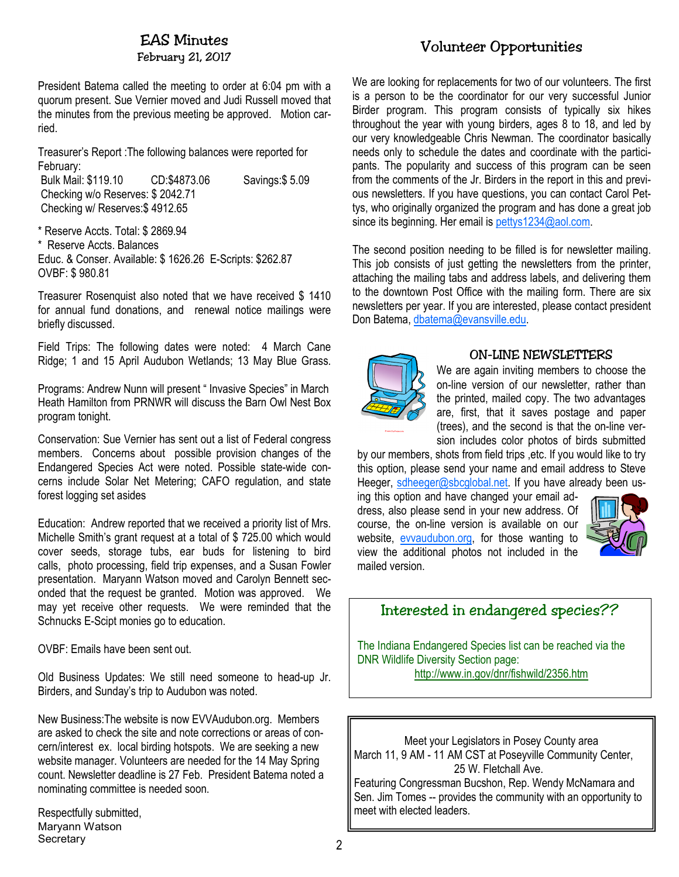### EAS Minutes

February 21, 2017

President Batema called the meeting to order at 6:04 pm with a quorum present. Sue Vernier moved and Judi Russell moved that the minutes from the previous meeting be approved. Motion carried.

Treasurer's Report :The following balances were reported for February:

 Bulk Mail: \$119.10 CD:\$4873.06 Savings:\$ 5.09 Checking w/o Reserves: \$ 2042.71 Checking w/ Reserves:\$ 4912.65

\* Reserve Accts. Total: \$ 2869.94

\* Reserve Accts. Balances

Educ. & Conser. Available: \$ 1626.26 E-Scripts: \$262.87 OVBF: \$ 980.81

Treasurer Rosenquist also noted that we have received \$ 1410 for annual fund donations, and renewal notice mailings were briefly discussed.

Field Trips: The following dates were noted: 4 March Cane Ridge; 1 and 15 April Audubon Wetlands; 13 May Blue Grass.

Programs: Andrew Nunn will present " Invasive Species" in March Heath Hamilton from PRNWR will discuss the Barn Owl Nest Box program tonight.

Conservation: Sue Vernier has sent out a list of Federal congress members. Concerns about possible provision changes of the Endangered Species Act were noted. Possible state-wide concerns include Solar Net Metering; CAFO regulation, and state forest logging set asides

Education: Andrew reported that we received a priority list of Mrs. Michelle Smith's grant request at a total of \$ 725.00 which would cover seeds, storage tubs, ear buds for listening to bird calls, photo processing, field trip expenses, and a Susan Fowler presentation. Maryann Watson moved and Carolyn Bennett seconded that the request be granted. Motion was approved. We may yet receive other requests. We were reminded that the Schnucks E-Scipt monies go to education.

OVBF: Emails have been sent out.

Old Business Updates: We still need someone to head-up Jr. Birders, and Sunday's trip to Audubon was noted.

New Business:The website is now EVVAudubon.org. Members are asked to check the site and note corrections or areas of concern/interest ex. local birding hotspots. We are seeking a new website manager. Volunteers are needed for the 14 May Spring count. Newsletter deadline is 27 Feb. President Batema noted a nominating committee is needed soon.

Respectfully submitted, Maryann Watson **Secretary** 

## Volunteer Opportunities

We are looking for replacements for two of our volunteers. The first is a person to be the coordinator for our very successful Junior Birder program. This program consists of typically six hikes throughout the year with young birders, ages 8 to 18, and led by our very knowledgeable Chris Newman. The coordinator basically needs only to schedule the dates and coordinate with the participants. The popularity and success of this program can be seen from the comments of the Jr. Birders in the report in this and previous newsletters. If you have questions, you can contact Carol Pettys, who originally organized the program and has done a great job since its beginning. Her email is pettys1234@aol.com.

The second position needing to be filled is for newsletter mailing. This job consists of just getting the newsletters from the printer, attaching the mailing tabs and address labels, and delivering them to the downtown Post Office with the mailing form. There are six newsletters per year. If you are interested, please contact president Don Batema, dbatema@evansville.edu.



#### ON-LINE NEWSLETTERS

We are again inviting members to choose the on-line version of our newsletter, rather than the printed, mailed copy. The two advantages are, first, that it saves postage and paper (trees), and the second is that the on-line version includes color photos of birds submitted

by our members, shots from field trips ,etc. If you would like to try this option, please send your name and email address to Steve Heeger, sdheeger@sbcglobal.net. If you have already been us-

ing this option and have changed your email address, also please send in your new address. Of course, the on-line version is available on our website, evvaudubon.org, for those wanting to view the additional photos not included in the mailed version.



## Interested in endangered species??

The Indiana Endangered Species list can be reached via the DNR Wildlife Diversity Section page: http://www.in.gov/dnr/fishwild/2356.htm

Meet your Legislators in Posey County area March 11, 9 AM - 11 AM CST at Poseyville Community Center, 25 W. Fletchall Ave. Featuring Congressman Bucshon, Rep. Wendy McNamara and

Sen. Jim Tomes -- provides the community with an opportunity to meet with elected leaders.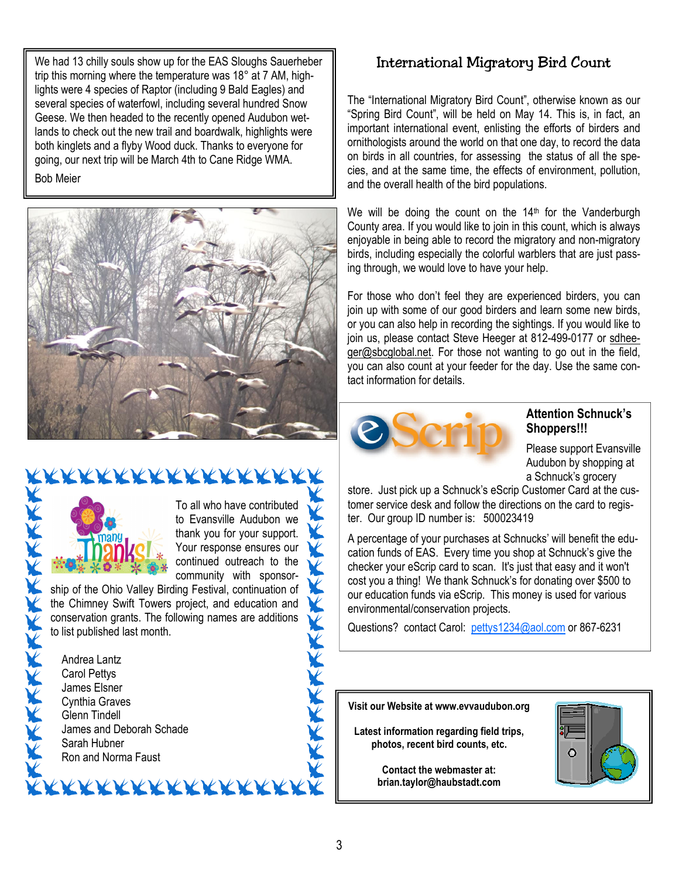We had 13 chilly souls show up for the EAS Sloughs Sauerheber trip this morning where the temperature was 18° at 7 AM, highlights were 4 species of Raptor (including 9 Bald Eagles) and several species of waterfowl, including several hundred Snow Geese. We then headed to the recently opened Audubon wetlands to check out the new trail and boardwalk, highlights were both kinglets and a flyby Wood duck. Thanks to everyone for going, our next trip will be March 4th to Cane Ridge WMA.

Bob Meier





To all who have contributed to Evansville Audubon we thank you for your support. Your response ensures our V continued outreach to the community with sponsor-

ship of the Ohio Valley Birding Festival, continuation of the Chimney Swift Towers project, and education and conservation grants. The following names are additions to list published last month.

<u>KXXXXXXXXXXXXXXXX</u>



# International Migratory Bird Count

The "International Migratory Bird Count", otherwise known as our "Spring Bird Count", will be held on May 14. This is, in fact, an important international event, enlisting the efforts of birders and ornithologists around the world on that one day, to record the data on birds in all countries, for assessing the status of all the species, and at the same time, the effects of environment, pollution, and the overall health of the bird populations.

We will be doing the count on the  $14<sup>th</sup>$  for the Vanderburgh County area. If you would like to join in this count, which is always enjoyable in being able to record the migratory and non-migratory birds, including especially the colorful warblers that are just passing through, we would love to have your help.

For those who don't feel they are experienced birders, you can join up with some of our good birders and learn some new birds, or you can also help in recording the sightings. If you would like to join us, please contact Steve Heeger at 812-499-0177 or sdheeger@sbcglobal.net. For those not wanting to go out in the field, you can also count at your feeder for the day. Use the same contact information for details.



#### **Attention Schnuck's Shoppers!!!**

Please support Evansville Audubon by shopping at a Schnuck's grocery

store. Just pick up a Schnuck's eScrip Customer Card at the customer service desk and follow the directions on the card to register. Our group ID number is: 500023419

A percentage of your purchases at Schnucks' will benefit the education funds of EAS. Every time you shop at Schnuck's give the checker your eScrip card to scan. It's just that easy and it won't cost you a thing! We thank Schnuck's for donating over \$500 to our education funds via eScrip. This money is used for various environmental/conservation projects.

Questions? contact Carol: pettys1234@aol.com or 867-6231

**Visit our Website at www.evvaudubon.org** 

**Latest information regarding field trips, photos, recent bird counts, etc.** 

> **Contact the webmaster at: brian.taylor@haubstadt.com**



K

The first part of the first part of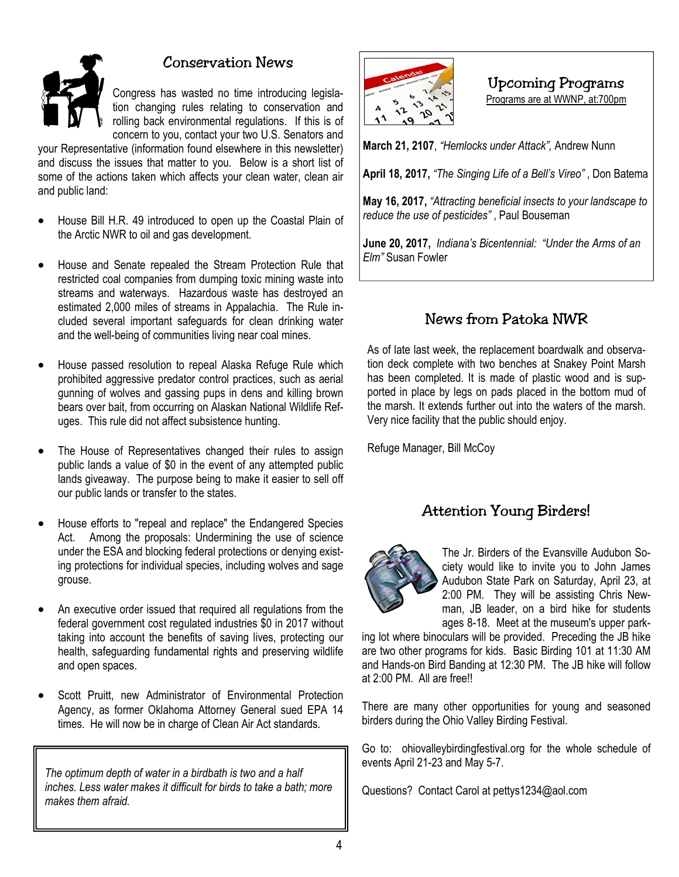

### Conservation News

Congress has wasted no time introducing legislation changing rules relating to conservation and rolling back environmental regulations. If this is of concern to you, contact your two U.S. Senators and

your Representative (information found elsewhere in this newsletter) and discuss the issues that matter to you. Below is a short list of some of the actions taken which affects your clean water, clean air and public land:

- House Bill H.R. 49 introduced to open up the Coastal Plain of the Arctic NWR to oil and gas development.
- House and Senate repealed the Stream Protection Rule that restricted coal companies from dumping toxic mining waste into streams and waterways. Hazardous waste has destroyed an estimated 2,000 miles of streams in Appalachia. The Rule included several important safeguards for clean drinking water and the well-being of communities living near coal mines.
- House passed resolution to repeal Alaska Refuge Rule which prohibited aggressive predator control practices, such as aerial gunning of wolves and gassing pups in dens and killing brown bears over bait, from occurring on Alaskan National Wildlife Refuges. This rule did not affect subsistence hunting.
- The House of Representatives changed their rules to assign public lands a value of \$0 in the event of any attempted public lands giveaway. The purpose being to make it easier to sell off our public lands or transfer to the states.
- House efforts to "repeal and replace" the Endangered Species Act. Among the proposals: Undermining the use of science under the ESA and blocking federal protections or denying existing protections for individual species, including wolves and sage grouse.
- An executive order issued that required all regulations from the federal government cost regulated industries \$0 in 2017 without taking into account the benefits of saving lives, protecting our health, safeguarding fundamental rights and preserving wildlife and open spaces.
- Scott Pruitt, new Administrator of Environmental Protection Agency, as former Oklahoma Attorney General sued EPA 14 times. He will now be in charge of Clean Air Act standards.

*The optimum depth of water in a birdbath is two and a half inches. Less water makes it difficult for birds to take a bath; more makes them afraid.* 



Upcoming Programs

Programs are at WWNP, at:700pm

**March 21, 2107**, *"Hemlocks under Attack",* Andrew Nunn

**April 18, 2017,** *"The Singing Life of a Bell's Vireo"* , Don Batema

**May 16, 2017,** *"Attracting beneficial insects to your landscape to reduce the use of pesticides"* , Paul Bouseman

**June 20, 2017,** *Indiana's Bicentennial: "Under the Arms of an Elm"* Susan Fowler

## News from Patoka NWR

As of late last week, the replacement boardwalk and observation deck complete with two benches at Snakey Point Marsh has been completed. It is made of plastic wood and is supported in place by legs on pads placed in the bottom mud of the marsh. It extends further out into the waters of the marsh. Very nice facility that the public should enjoy.

Refuge Manager, Bill McCoy

### Attention Young Birders!



The Jr. Birders of the Evansville Audubon Society would like to invite you to John James Audubon State Park on Saturday, April 23, at 2:00 PM. They will be assisting Chris Newman, JB leader, on a bird hike for students ages 8-18. Meet at the museum's upper park-

ing lot where binoculars will be provided. Preceding the JB hike are two other programs for kids. Basic Birding 101 at 11:30 AM and Hands-on Bird Banding at 12:30 PM. The JB hike will follow at 2:00 PM. All are free!!

There are many other opportunities for young and seasoned birders during the Ohio Valley Birding Festival.

Go to: ohiovalleybirdingfestival.org for the whole schedule of events April 21-23 and May 5-7.

Questions? Contact Carol at pettys1234@aol.com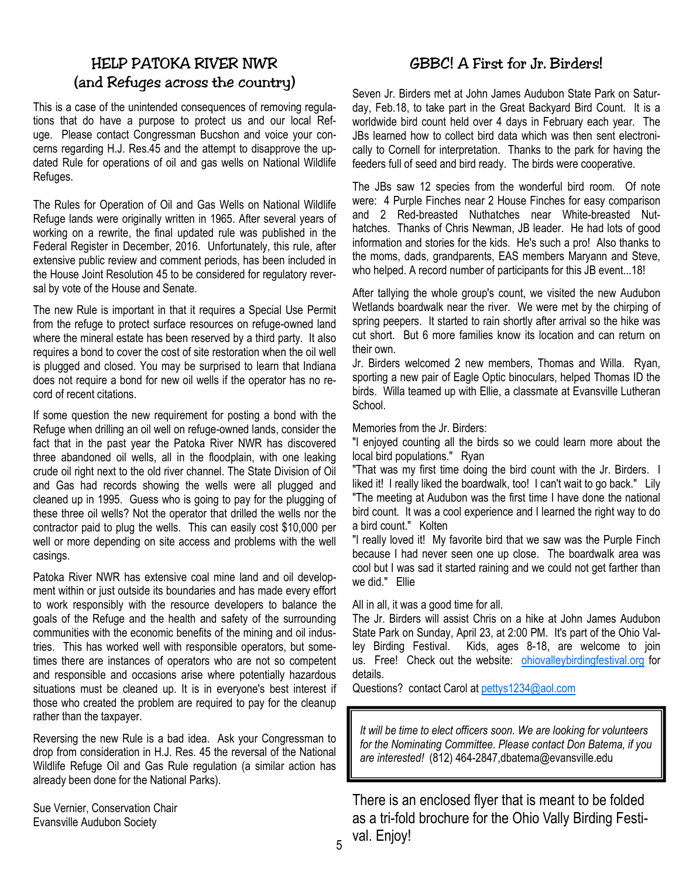### HELP PATOKA RIVER NWR (and Refuges across the country)

This is a case of the unintended consequences of removing regulations that do have a purpose to protect us and our local Refuge. Please contact Congressman Bucshon and voice your concerns regarding H.J. Res.45 and the attempt to disapprove the updated Rule for operations of oil and gas wells on National Wildlife Refuges.

The Rules for Operation of Oil and Gas Wells on National Wildlife Refuge lands were originally written in 1965. After several years of working on a rewrite, the final updated rule was published in the Federal Register in December, 2016. Unfortunately, this rule, after extensive public review and comment periods, has been included in the House Joint Resolution 45 to be considered for regulatory reversal by vote of the House and Senate.

The new Rule is important in that it requires a Special Use Permit from the refuge to protect surface resources on refuge-owned land where the mineral estate has been reserved by a third party. It also requires a bond to cover the cost of site restoration when the oil well is plugged and closed. You may be surprised to learn that Indiana does not require a bond for new oil wells if the operator has no record of recent citations.

If some question the new requirement for posting a bond with the Refuge when drilling an oil well on refuge-owned lands, consider the fact that in the past year the Patoka River NWR has discovered three abandoned oil wells, all in the floodplain, with one leaking crude oil right next to the old river channel. The State Division of Oil and Gas had records showing the wells were all plugged and cleaned up in 1995. Guess who is going to pay for the plugging of these three oil wells? Not the operator that drilled the wells nor the contractor paid to plug the wells. This can easily cost \$10,000 per well or more depending on site access and problems with the well casings.

Patoka River NWR has extensive coal mine land and oil development within or just outside its boundaries and has made every effort to work responsibly with the resource developers to balance the goals of the Refuge and the health and safety of the surrounding communities with the economic benefits of the mining and oil industries. This has worked well with responsible operators, but sometimes there are instances of operators who are not so competent and responsible and occasions arise where potentially hazardous situations must be cleaned up. It is in everyone's best interest if those who created the problem are required to pay for the cleanup rather than the taxpayer.

Reversing the new Rule is a bad idea. Ask your Congressman to drop from consideration in H.J. Res. 45 the reversal of the National Wildlife Refuge Oil and Gas Rule regulation (a similar action has already been done for the National Parks).

Sue Vernier, Conservation Chair Evansville Audubon Society

### GBBC! A First for Jr. Birders!

Seven Jr. Birders met at John James Audubon State Park on Saturday, Feb.18, to take part in the Great Backyard Bird Count. It is a worldwide bird count held over 4 days in February each year. The JBs learned how to collect bird data which was then sent electronically to Cornell for interpretation. Thanks to the park for having the feeders full of seed and bird ready. The birds were cooperative.

The JBs saw 12 species from the wonderful bird room. Of note were: 4 Purple Finches near 2 House Finches for easy comparison and 2 Red-breasted Nuthatches near White-breasted Nuthatches. Thanks of Chris Newman, JB leader. He had lots of good information and stories for the kids. He's such a pro! Also thanks to the moms, dads, grandparents, EAS members Maryann and Steve, who helped. A record number of participants for this JB event...18!

After tallying the whole group's count, we visited the new Audubon Wetlands boardwalk near the river. We were met by the chirping of spring peepers. It started to rain shortly after arrival so the hike was cut short. But 6 more families know its location and can return on their own.

Jr. Birders welcomed 2 new members, Thomas and Willa. Ryan, sporting a new pair of Eagle Optic binoculars, helped Thomas ID the birds. Willa teamed up with Ellie, a classmate at Evansville Lutheran School.

Memories from the Jr. Birders:

"I enjoyed counting all the birds so we could learn more about the local bird populations." Ryan

"That was my first time doing the bird count with the Jr. Birders. I liked it! I really liked the boardwalk, too! I can't wait to go back." Lily "The meeting at Audubon was the first time I have done the national bird count. It was a cool experience and I learned the right way to do a bird count." Kolten

"I really loved it! My favorite bird that we saw was the Purple Finch because I had never seen one up close. The boardwalk area was cool but I was sad it started raining and we could not get farther than we did." Ellie

All in all, it was a good time for all.

The Jr. Birders will assist Chris on a hike at John James Audubon State Park on Sunday, April 23, at 2:00 PM. It's part of the Ohio Valley Birding Festival. Kids, ages 8-18, are welcome to join us. Free! Check out the website: ohiovalleybirdingfestival.org for details.

Questions? contact Carol at pettys1234@aol.com

*It will be time to elect officers soon. We are looking for volunteers for the Nominating Committee. Please contact Don Batema, if you are interested!* (812) 464-2847,dbatema@evansville.edu

There is an enclosed flyer that is meant to be folded as a tri-fold brochure for the Ohio Vally Birding Festival. Enjoy!